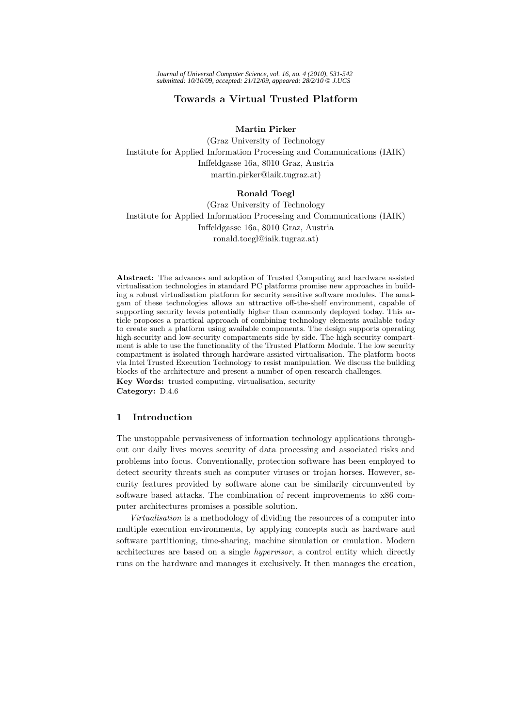# **Towards a Virtual Trusted Platform**

**Martin Pirker**

(Graz University of Technology Institute for Applied Information Processing and Communications (IAIK) Inffeldgasse 16a, 8010 Graz, Austria martin.pirker@iaik.tugraz.at)

## **Ronald Toegl**

(Graz University of Technology Institute for Applied Information Processing and Communications (IAIK) Inffeldgasse 16a, 8010 Graz, Austria ronald.toegl@iaik.tugraz.at)

**Abstract:** The advances and adoption of Trusted Computing and hardware assisted virtualisation technologies in standard PC platforms promise new approaches in building a robust virtualisation platform for security sensitive software modules. The amalgam of these technologies allows an attractive off-the-shelf environment, capable of supporting security levels potentially higher than commonly deployed today. This article proposes a practical approach of combining technology elements available today to create such a platform using available components. The design supports operating high-security and low-security compartments side by side. The high security compartment is able to use the functionality of the Trusted Platform Module. The low security compartment is isolated through hardware-assisted virtualisation. The platform boots via Intel Trusted Execution Technology to resist manipulation. We discuss the building blocks of the architecture and present a number of open research challenges. **Key Words:** trusted computing, virtualisation, security

**Category:** D.4.6

#### **1 Introduction**

The unstoppable pervasiveness of information technology applications throughout our daily lives moves security of data processing and associated risks and problems into focus. Conventionally, protection software has been employed to detect security threats such as computer viruses or trojan horses. However, security features provided by software alone can be similarily circumvented by software based attacks. The combination of recent improvements to x86 computer architectures promises a possible solution.

*Virtualisation* is a methodology of dividing the resources of a computer into multiple execution environments, by applying concepts such as hardware and software partitioning, time-sharing, machine simulation or emulation. Modern architectures are based on a single *hypervisor*, a control entity which directly runs on the hardware and manages it exclusively. It then manages the creation,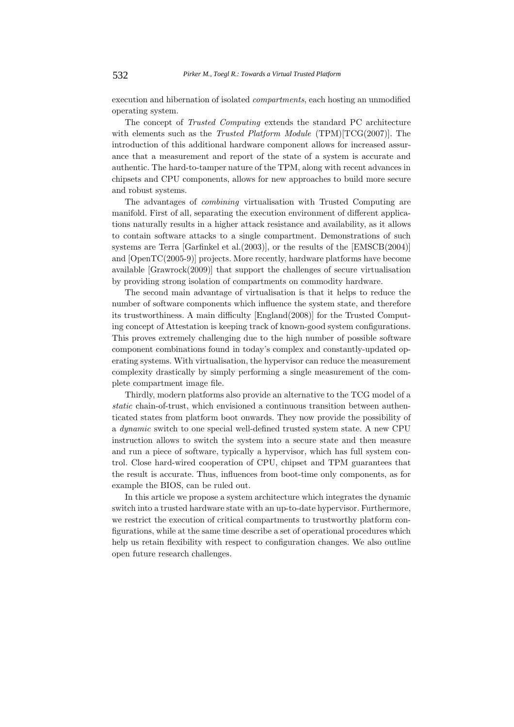execution and hibernation of isolated *compartments*, each hosting an unmodified operating system.

The concept of *Trusted Computing* extends the standard PC architecture with elements such as the *Trusted Platform Module* (TPM)[TCG(2007)]. The introduction of this additional hardware component allows for increased assurance that a measurement and report of the state of a system is accurate and authentic. The hard-to-tamper nature of the TPM, along with recent advances in chipsets and CPU components, allows for new approaches to build more secure and robust systems.

The advantages of *combining* virtualisation with Trusted Computing are manifold. First of all, separating the execution environment of different applications naturally results in a higher attack resistance and availability, as it allows to contain software attacks to a single compartment. Demonstrations of such systems are Terra [Garfinkel et al.(2003)], or the results of the [EMSCB(2004)] and [OpenTC(2005-9)] projects. More recently, hardware platforms have become available [Grawrock(2009)] that support the challenges of secure virtualisation by providing strong isolation of compartments on commodity hardware.

The second main advantage of virtualisation is that it helps to reduce the number of software components which influence the system state, and therefore its trustworthiness. A main difficulty [England(2008)] for the Trusted Computing concept of Attestation is keeping track of known-good system configurations. This proves extremely challenging due to the high number of possible software component combinations found in today's complex and constantly-updated operating systems. With virtualisation, the hypervisor can reduce the measurement complexity drastically by simply performing a single measurement of the complete compartment image file.

Thirdly, modern platforms also provide an alternative to the TCG model of a *static* chain-of-trust, which envisioned a continuous transition between authenticated states from platform boot onwards. They now provide the possibility of a *dynamic* switch to one special well-defined trusted system state. A new CPU instruction allows to switch the system into a secure state and then measure and run a piece of software, typically a hypervisor, which has full system control. Close hard-wired cooperation of CPU, chipset and TPM guarantees that the result is accurate. Thus, influences from boot-time only components, as for example the BIOS, can be ruled out.

In this article we propose a system architecture which integrates the dynamic switch into a trusted hardware state with an up-to-date hypervisor. Furthermore, we restrict the execution of critical compartments to trustworthy platform configurations, while at the same time describe a set of operational procedures which help us retain flexibility with respect to configuration changes. We also outline open future research challenges.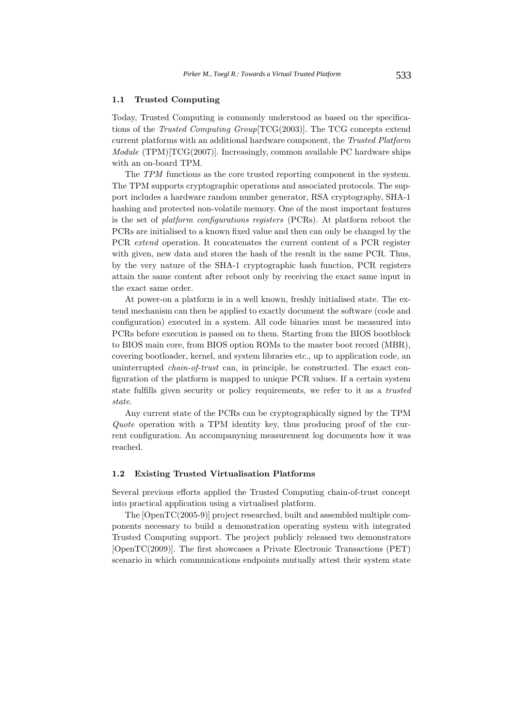### **1.1 Trusted Computing**

Today, Trusted Computing is commonly understood as based on the specifications of the *Trusted Computing Group*[TCG(2003)]. The TCG concepts extend current platforms with an additional hardware component, the *Trusted Platform Module* (TPM)[TCG(2007)]. Increasingly, common available PC hardware ships with an on-board TPM.

The *TPM* functions as the core trusted reporting component in the system. The TPM supports cryptographic operations and associated protocols. The support includes a hardware random number generator, RSA cryptography, SHA-1 hashing and protected non-volatile memory. One of the most important features is the set of *platform configurations registers* (PCRs). At platform reboot the PCRs are initialised to a known fixed value and then can only be changed by the PCR *extend* operation. It concatenates the current content of a PCR register with given, new data and stores the hash of the result in the same PCR. Thus, by the very nature of the SHA-1 cryptographic hash function, PCR registers attain the same content after reboot only by receiving the exact same input in the exact same order.

At power-on a platform is in a well known, freshly initialised state. The extend mechanism can then be applied to exactly document the software (code and configuration) executed in a system. All code binaries must be measured into PCRs before execution is passed on to them. Starting from the BIOS bootblock to BIOS main core, from BIOS option ROMs to the master boot record (MBR), covering bootloader, kernel, and system libraries etc., up to application code, an uninterrupted *chain-of-trust* can, in principle, be constructed. The exact configuration of the platform is mapped to unique PCR values. If a certain system state fulfills given security or policy requirements, we refer to it as a *trusted state*.

Any current state of the PCRs can be cryptographically signed by the TPM *Quote* operation with a TPM identity key, thus producing proof of the current configuration. An accompanyning measurement log documents how it was reached.

#### **1.2 Existing Trusted Virtualisation Platforms**

Several previous efforts applied the Trusted Computing chain-of-trust concept into practical application using a virtualised platform.

The [OpenTC(2005-9)] project researched, built and assembled multiple components necessary to build a demonstration operating system with integrated Trusted Computing support. The project publicly released two demonstrators [OpenTC(2009)]. The first showcases a Private Electronic Transactions (PET) scenario in which communications endpoints mutually attest their system state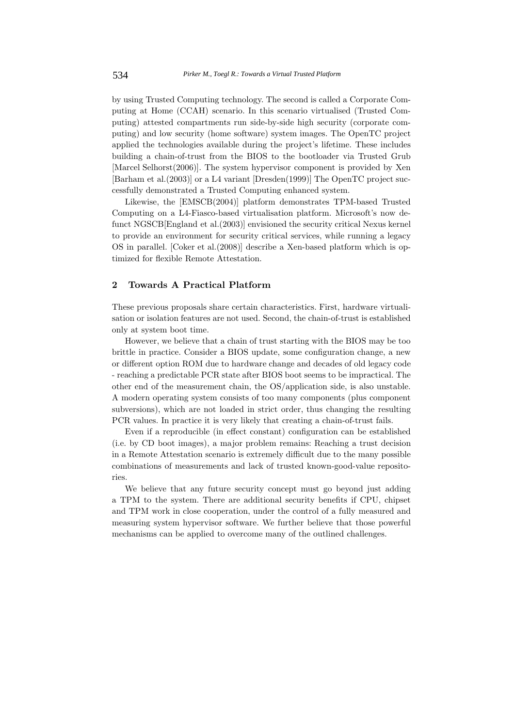by using Trusted Computing technology. The second is called a Corporate Computing at Home (CCAH) scenario. In this scenario virtualised (Trusted Computing) attested compartments run side-by-side high security (corporate computing) and low security (home software) system images. The OpenTC project applied the technologies available during the project's lifetime. These includes building a chain-of-trust from the BIOS to the bootloader via Trusted Grub [Marcel Selhorst(2006)]. The system hypervisor component is provided by Xen [Barham et al.(2003)] or a L4 variant [Dresden(1999)] The OpenTC project successfully demonstrated a Trusted Computing enhanced system.

Likewise, the [EMSCB(2004)] platform demonstrates TPM-based Trusted Computing on a L4-Fiasco-based virtualisation platform. Microsoft's now defunct NGSCB[England et al.(2003)] envisioned the security critical Nexus kernel to provide an environment for security critical services, while running a legacy OS in parallel. [Coker et al.(2008)] describe a Xen-based platform which is optimized for flexible Remote Attestation.

## **2 Towards A Practical Platform**

These previous proposals share certain characteristics. First, hardware virtualisation or isolation features are not used. Second, the chain-of-trust is established only at system boot time.

However, we believe that a chain of trust starting with the BIOS may be too brittle in practice. Consider a BIOS update, some configuration change, a new or different option ROM due to hardware change and decades of old legacy code - reaching a predictable PCR state after BIOS boot seems to be impractical. The other end of the measurement chain, the OS/application side, is also unstable. A modern operating system consists of too many components (plus component subversions), which are not loaded in strict order, thus changing the resulting PCR values. In practice it is very likely that creating a chain-of-trust fails.

Even if a reproducible (in effect constant) configuration can be established (i.e. by CD boot images), a major problem remains: Reaching a trust decision in a Remote Attestation scenario is extremely difficult due to the many possible combinations of measurements and lack of trusted known-good-value repositories.

We believe that any future security concept must go beyond just adding a TPM to the system. There are additional security benefits if CPU, chipset and TPM work in close cooperation, under the control of a fully measured and measuring system hypervisor software. We further believe that those powerful mechanisms can be applied to overcome many of the outlined challenges.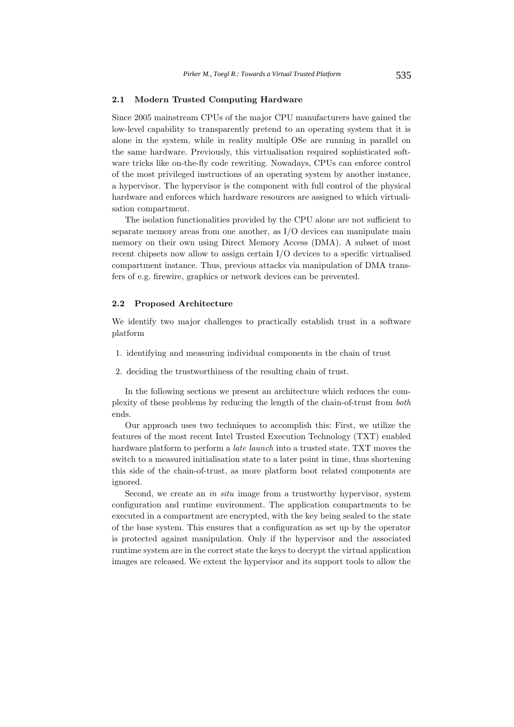#### **2.1 Modern Trusted Computing Hardware**

Since 2005 mainstream CPUs of the major CPU manufacturers have gained the low-level capability to transparently pretend to an operating system that it is alone in the system, while in reality multiple OSe are running in parallel on the same hardware. Previously, this virtualisation required sophisticated software tricks like on-the-fly code rewriting. Nowadays, CPUs can enforce control of the most privileged instructions of an operating system by another instance, a hypervisor. The hypervisor is the component with full control of the physical hardware and enforces which hardware resources are assigned to which virtualisation compartment.

The isolation functionalities provided by the CPU alone are not sufficient to separate memory areas from one another, as I/O devices can manipulate main memory on their own using Direct Memory Access (DMA). A subset of most recent chipsets now allow to assign certain I/O devices to a specific virtualised compartment instance. Thus, previous attacks via manipulation of DMA transfers of e.g. firewire, graphics or network devices can be prevented.

### **2.2 Proposed Architecture**

We identify two major challenges to practically establish trust in a software platform

- 1. identifying and measuring individual components in the chain of trust
- 2. deciding the trustworthiness of the resulting chain of trust.

In the following sections we present an architecture which reduces the complexity of these problems by reducing the length of the chain-of-trust from *both* ends.

Our approach uses two techniques to accomplish this: First, we utilize the features of the most recent Intel Trusted Execution Technology (TXT) enabled hardware platform to perform a *late launch* into a trusted state. TXT moves the switch to a measured initialisation state to a later point in time, thus shortening this side of the chain-of-trust, as more platform boot related components are ignored.

Second, we create an *in situ* image from a trustworthy hypervisor, system configuration and runtime environment. The application compartments to be executed in a compartment are encrypted, with the key being sealed to the state of the base system. This ensures that a configuration as set up by the operator is protected against manipulation. Only if the hypervisor and the associated runtime system are in the correct state the keys to decrypt the virtual application images are released. We extent the hypervisor and its support tools to allow the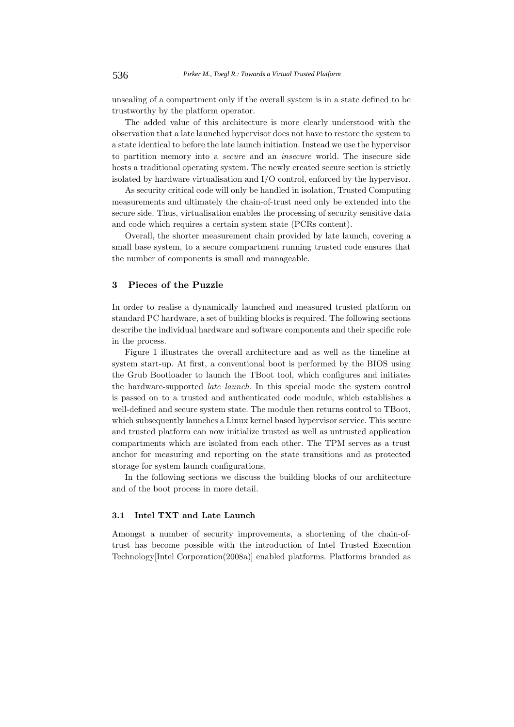unsealing of a compartment only if the overall system is in a state defined to be trustworthy by the platform operator.

The added value of this architecture is more clearly understood with the observation that a late launched hypervisor does not have to restore the system to a state identical to before the late launch initiation. Instead we use the hypervisor to partition memory into a *secure* and an *insecure* world. The insecure side hosts a traditional operating system. The newly created secure section is strictly isolated by hardware virtualisation and I/O control, enforced by the hypervisor.

As security critical code will only be handled in isolation, Trusted Computing measurements and ultimately the chain-of-trust need only be extended into the secure side. Thus, virtualisation enables the processing of security sensitive data and code which requires a certain system state (PCRs content).

Overall, the shorter measurement chain provided by late launch, covering a small base system, to a secure compartment running trusted code ensures that the number of components is small and manageable.

## **3 Pieces of the Puzzle**

In order to realise a dynamically launched and measured trusted platform on standard PC hardware, a set of building blocks is required. The following sections describe the individual hardware and software components and their specific role in the process.

Figure 1 illustrates the overall architecture and as well as the timeline at system start-up. At first, a conventional boot is performed by the BIOS using the Grub Bootloader to launch the TBoot tool, which configures and initiates the hardware-supported *late launch*. In this special mode the system control is passed on to a trusted and authenticated code module, which establishes a well-defined and secure system state. The module then returns control to TBoot, which subsequently launches a Linux kernel based hypervisor service. This secure and trusted platform can now initialize trusted as well as untrusted application compartments which are isolated from each other. The TPM serves as a trust anchor for measuring and reporting on the state transitions and as protected storage for system launch configurations.

In the following sections we discuss the building blocks of our architecture and of the boot process in more detail.

### **3.1 Intel TXT and Late Launch**

Amongst a number of security improvements, a shortening of the chain-oftrust has become possible with the introduction of Intel Trusted Execution Technology[Intel Corporation(2008a)] enabled platforms. Platforms branded as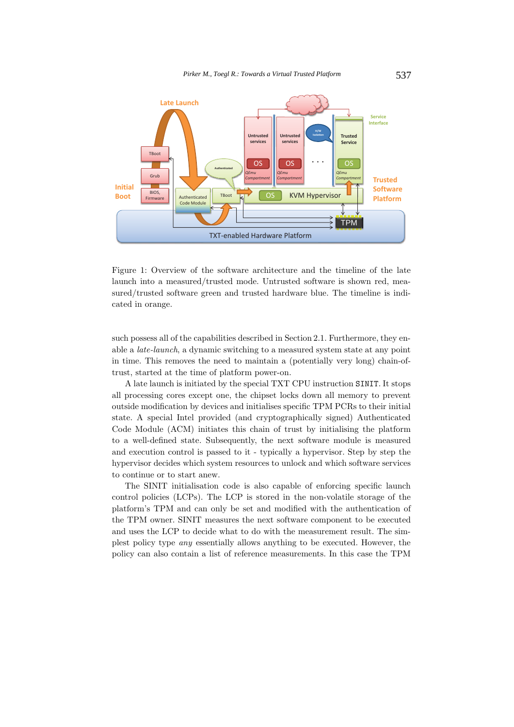

Figure 1: Overview of the software architecture and the timeline of the late launch into a measured/trusted mode. Untrusted software is shown red, measured/trusted software green and trusted hardware blue. The timeline is indicated in orange.

such possess all of the capabilities described in Section 2.1. Furthermore, they enable a *late-launch*, a dynamic switching to a measured system state at any point in time. This removes the need to maintain a (potentially very long) chain-oftrust, started at the time of platform power-on.

A late launch is initiated by the special TXT CPU instruction SINIT. It stops all processing cores except one, the chipset locks down all memory to prevent outside modification by devices and initialises specific TPM PCRs to their initial state. A special Intel provided (and cryptographically signed) Authenticated Code Module (ACM) initiates this chain of trust by initialising the platform to a well-defined state. Subsequently, the next software module is measured and execution control is passed to it - typically a hypervisor. Step by step the hypervisor decides which system resources to unlock and which software services to continue or to start anew.

The SINIT initialisation code is also capable of enforcing specific launch control policies (LCPs). The LCP is stored in the non-volatile storage of the platform's TPM and can only be set and modified with the authentication of the TPM owner. SINIT measures the next software component to be executed and uses the LCP to decide what to do with the measurement result. The simplest policy type *any* essentially allows anything to be executed. However, the policy can also contain a list of reference measurements. In this case the TPM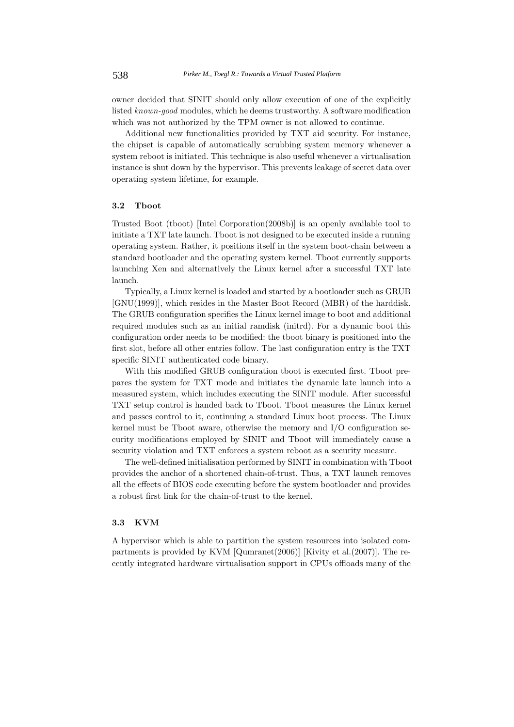owner decided that SINIT should only allow execution of one of the explicitly listed *known-good* modules, which he deems trustworthy. A software modification which was not authorized by the TPM owner is not allowed to continue.

Additional new functionalities provided by TXT aid security. For instance, the chipset is capable of automatically scrubbing system memory whenever a system reboot is initiated. This technique is also useful whenever a virtualisation instance is shut down by the hypervisor. This prevents leakage of secret data over operating system lifetime, for example.

### **3.2 Tboot**

Trusted Boot (tboot) [Intel Corporation(2008b)] is an openly available tool to initiate a TXT late launch. Tboot is not designed to be executed inside a running operating system. Rather, it positions itself in the system boot-chain between a standard bootloader and the operating system kernel. Tboot currently supports launching Xen and alternatively the Linux kernel after a successful TXT late launch.

Typically, a Linux kernel is loaded and started by a bootloader such as GRUB [GNU(1999)], which resides in the Master Boot Record (MBR) of the harddisk. The GRUB configuration specifies the Linux kernel image to boot and additional required modules such as an initial ramdisk (initrd). For a dynamic boot this configuration order needs to be modified: the tboot binary is positioned into the first slot, before all other entries follow. The last configuration entry is the TXT specific SINIT authenticated code binary.

With this modified GRUB configuration tboot is executed first. Tboot prepares the system for TXT mode and initiates the dynamic late launch into a measured system, which includes executing the SINIT module. After successful TXT setup control is handed back to Tboot. Tboot measures the Linux kernel and passes control to it, continuing a standard Linux boot process. The Linux kernel must be Tboot aware, otherwise the memory and I/O configuration security modifications employed by SINIT and Tboot will immediately cause a security violation and TXT enforces a system reboot as a security measure.

The well-defined initialisation performed by SINIT in combination with Tboot provides the anchor of a shortened chain-of-trust. Thus, a TXT launch removes all the effects of BIOS code executing before the system bootloader and provides a robust first link for the chain-of-trust to the kernel.

#### **3.3 KVM**

A hypervisor which is able to partition the system resources into isolated compartments is provided by KVM [Qumranet(2006)] [Kivity et al.(2007)]. The recently integrated hardware virtualisation support in CPUs offloads many of the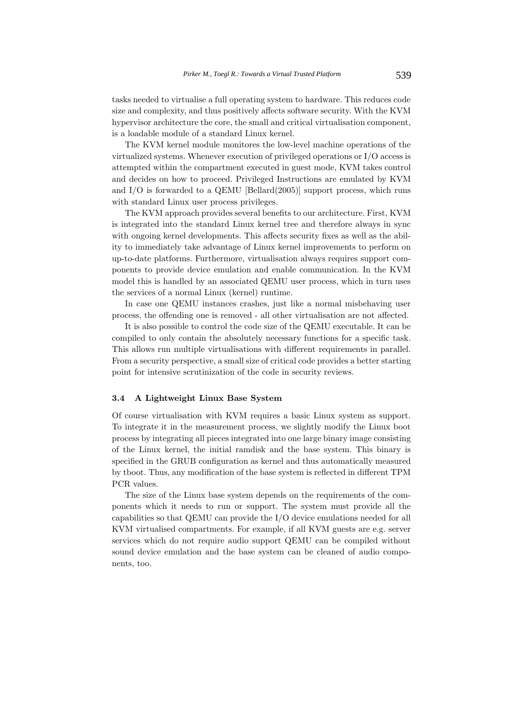tasks needed to virtualise a full operating system to hardware. This reduces code size and complexity, and thus positively affects software security. With the KVM hypervisor architecture the core, the small and critical virtualisation component, is a loadable module of a standard Linux kernel.

The KVM kernel module monitores the low-level machine operations of the virtualized systems. Whenever execution of privileged operations or I/O access is attempted within the compartment executed in guest mode, KVM takes control and decides on how to proceed. Privileged Instructions are emulated by KVM and  $I/O$  is forwarded to a QEMU [Bellard $(2005)$ ] support process, which runs with standard Linux user process privileges.

The KVM approach provides several benefits to our architecture. First, KVM is integrated into the standard Linux kernel tree and therefore always in sync with ongoing kernel developments. This affects security fixes as well as the ability to immediately take advantage of Linux kernel improvements to perform on up-to-date platforms. Furthermore, virtualisation always requires support components to provide device emulation and enable communication. In the KVM model this is handled by an associated QEMU user process, which in turn uses the services of a normal Linux (kernel) runtime.

In case one QEMU instances crashes, just like a normal misbehaving user process, the offending one is removed - all other virtualisation are not affected.

It is also possible to control the code size of the QEMU executable. It can be compiled to only contain the absolutely necessary functions for a specific task. This allows run multiple virtualisations with different requirements in parallel. From a security perspective, a small size of critical code provides a better starting point for intensive scrutinization of the code in security reviews.

### **3.4 A Lightweight Linux Base System**

Of course virtualisation with KVM requires a basic Linux system as support. To integrate it in the measurement process, we slightly modify the Linux boot process by integrating all pieces integrated into one large binary image consisting of the Linux kernel, the initial ramdisk and the base system. This binary is specified in the GRUB configuration as kernel and thus automatically measured by tboot. Thus, any modification of the base system is reflected in different TPM PCR values.

The size of the Linux base system depends on the requirements of the components which it needs to run or support. The system must provide all the capabilities so that QEMU can provide the I/O device emulations needed for all KVM virtualised compartments. For example, if all KVM guests are e.g. server services which do not require audio support QEMU can be compiled without sound device emulation and the base system can be cleaned of audio components, too.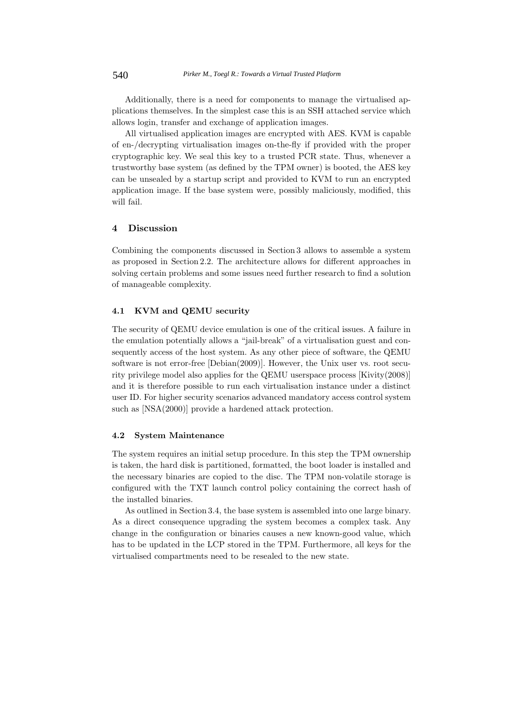Additionally, there is a need for components to manage the virtualised applications themselves. In the simplest case this is an SSH attached service which allows login, transfer and exchange of application images.

All virtualised application images are encrypted with AES. KVM is capable of en-/decrypting virtualisation images on-the-fly if provided with the proper cryptographic key. We seal this key to a trusted PCR state. Thus, whenever a trustworthy base system (as defined by the TPM owner) is booted, the AES key can be unsealed by a startup script and provided to KVM to run an encrypted application image. If the base system were, possibly maliciously, modified, this will fail.

## **4 Discussion**

Combining the components discussed in Section 3 allows to assemble a system as proposed in Section 2.2. The architecture allows for different approaches in solving certain problems and some issues need further research to find a solution of manageable complexity.

### **4.1 KVM and QEMU security**

The security of QEMU device emulation is one of the critical issues. A failure in the emulation potentially allows a "jail-break" of a virtualisation guest and consequently access of the host system. As any other piece of software, the QEMU software is not error-free [Debian(2009)]. However, the Unix user vs. root security privilege model also applies for the QEMU userspace process [Kivity(2008)] and it is therefore possible to run each virtualisation instance under a distinct user ID. For higher security scenarios advanced mandatory access control system such as [NSA(2000)] provide a hardened attack protection.

#### **4.2 System Maintenance**

The system requires an initial setup procedure. In this step the TPM ownership is taken, the hard disk is partitioned, formatted, the boot loader is installed and the necessary binaries are copied to the disc. The TPM non-volatile storage is configured with the TXT launch control policy containing the correct hash of the installed binaries.

As outlined in Section 3.4, the base system is assembled into one large binary. As a direct consequence upgrading the system becomes a complex task. Any change in the configuration or binaries causes a new known-good value, which has to be updated in the LCP stored in the TPM. Furthermore, all keys for the virtualised compartments need to be resealed to the new state.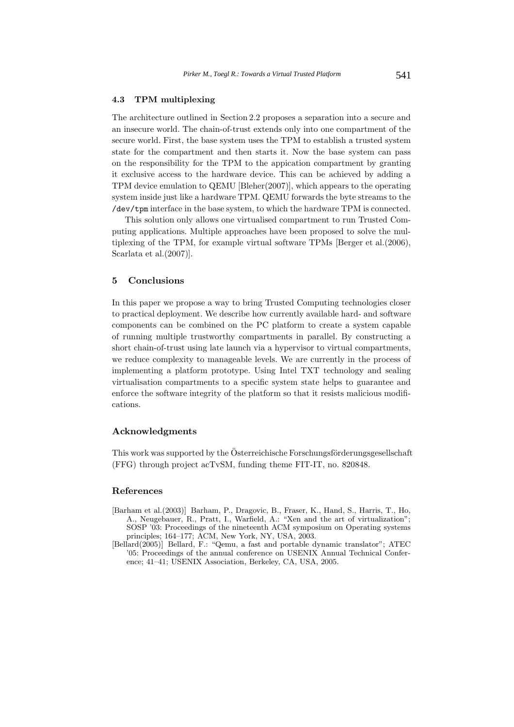### **4.3 TPM multiplexing**

The architecture outlined in Section 2.2 proposes a separation into a secure and an insecure world. The chain-of-trust extends only into one compartment of the secure world. First, the base system uses the TPM to establish a trusted system state for the compartment and then starts it. Now the base system can pass on the responsibility for the TPM to the appication compartment by granting it exclusive access to the hardware device. This can be achieved by adding a TPM device emulation to QEMU [Bleher(2007)], which appears to the operating system inside just like a hardware TPM. QEMU forwards the byte streams to the /dev/tpm interface in the base system, to which the hardware TPM is connected.

This solution only allows one virtualised compartment to run Trusted Computing applications. Multiple approaches have been proposed to solve the multiplexing of the TPM, for example virtual software TPMs [Berger et al.(2006), Scarlata et al.(2007)].

## **5 Conclusions**

In this paper we propose a way to bring Trusted Computing technologies closer to practical deployment. We describe how currently available hard- and software components can be combined on the PC platform to create a system capable of running multiple trustworthy compartments in parallel. By constructing a short chain-of-trust using late launch via a hypervisor to virtual compartments, we reduce complexity to manageable levels. We are currently in the process of implementing a platform prototype. Using Intel TXT technology and sealing virtualisation compartments to a specific system state helps to guarantee and enforce the software integrity of the platform so that it resists malicious modifications.

## **Acknowledgments**

This work was supported by the Österreichische Forschungsförderungsgesellschaft (FFG) through project acTvSM, funding theme FIT-IT, no. 820848.

#### **References**

- [Barham et al.(2003)] Barham, P., Dragovic, B., Fraser, K., Hand, S., Harris, T., Ho, A., Neugebauer, R., Pratt, I., Warfield, A.: "Xen and the art of virtualization"; SOSP '03: Proceedings of the nineteenth ACM symposium on Operating systems principles; 164–177; ACM, New York, NY, USA, 2003.
- [Bellard(2005)] Bellard, F.: "Qemu, a fast and portable dynamic translator"; ATEC '05: Proceedings of the annual conference on USENIX Annual Technical Conference; 41–41; USENIX Association, Berkeley, CA, USA, 2005.